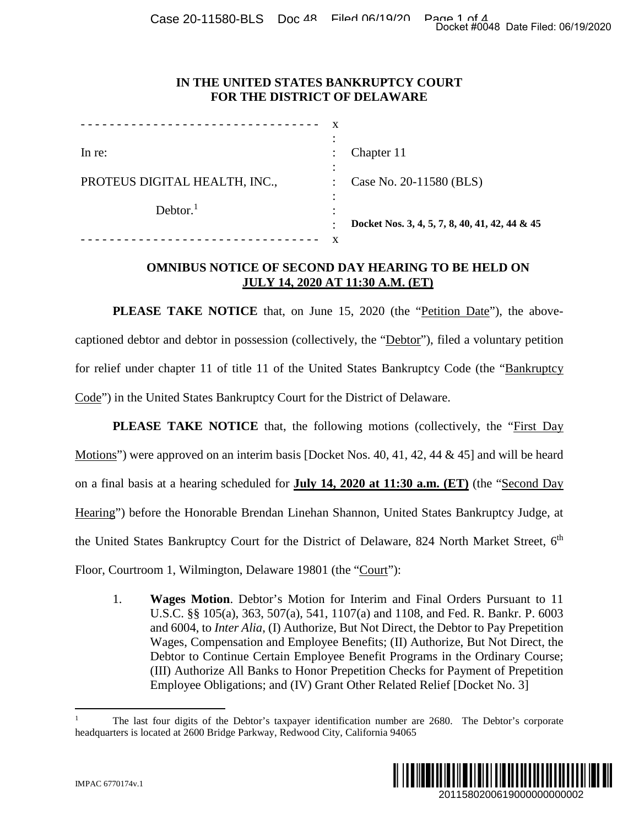Case 20-11580-BLS Doc 48 Filed 06/19/20 Page 1 of 4

## **IN THE UNITED STATES BANKRUPTCY COURT FOR THE DISTRICT OF DELAWARE**

| In re:                        | Chapter 11                                     |
|-------------------------------|------------------------------------------------|
| PROTEUS DIGITAL HEALTH, INC., | Case No. 20-11580 (BLS)                        |
| Dektor. <sup>1</sup>          | Docket Nos. 3, 4, 5, 7, 8, 40, 41, 42, 44 & 45 |
|                               |                                                |

## **OMNIBUS NOTICE OF SECOND DAY HEARING TO BE HELD ON JULY 14, 2020 AT 11:30 A.M. (ET)**

**PLEASE TAKE NOTICE** that, on June 15, 2020 (the "Petition Date"), the abovecaptioned debtor and debtor in possession (collectively, the "Debtor"), filed a voluntary petition for relief under chapter 11 of title 11 of the United States Bankruptcy Code (the "Bankruptcy Code") in the United States Bankruptcy Court for the District of Delaware.

**PLEASE TAKE NOTICE** that, the following motions (collectively, the "First Day Motions") were approved on an interim basis [Docket Nos. 40, 41, 42, 44 & 45] and will be heard on a final basis at a hearing scheduled for **July 14, 2020 at 11:30 a.m. (ET)** (the "Second Day Hearing") before the Honorable Brendan Linehan Shannon, United States Bankruptcy Judge, at the United States Bankruptcy Court for the District of Delaware, 824 North Market Street,  $6<sup>th</sup>$ Floor, Courtroom 1, Wilmington, Delaware 19801 (the "Court"): 2011580200619000000000002 Docket #0048 Date Filed: 06/19/2020

1. **Wages Motion**. Debtor's Motion for Interim and Final Orders Pursuant to 11 U.S.C. §§ 105(a), 363, 507(a), 541, 1107(a) and 1108, and Fed. R. Bankr. P. 6003 and 6004, to *Inter Alia*, (I) Authorize, But Not Direct, the Debtor to Pay Prepetition Wages, Compensation and Employee Benefits; (II) Authorize, But Not Direct, the Debtor to Continue Certain Employee Benefit Programs in the Ordinary Course; (III) Authorize All Banks to Honor Prepetition Checks for Payment of Prepetition Employee Obligations; and (IV) Grant Other Related Relief [Docket No. 3]

<sup>1</sup> The last four digits of the Debtor's taxpayer identification number are 2680. The Debtor's corporate headquarters is located at 2600 Bridge Parkway, Redwood City, California 94065

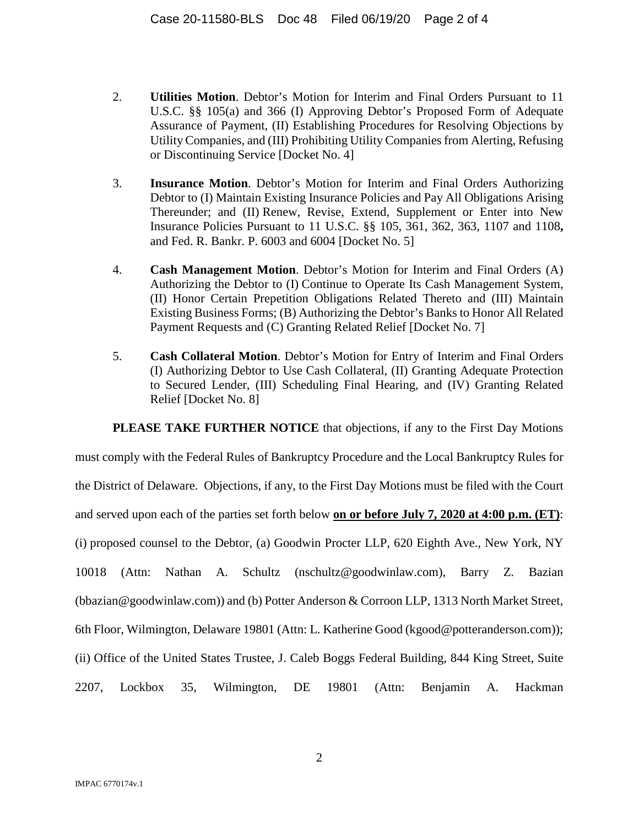- 2. **Utilities Motion**. Debtor's Motion for Interim and Final Orders Pursuant to 11 U.S.C. §§ 105(a) and 366 (I) Approving Debtor's Proposed Form of Adequate Assurance of Payment, (II) Establishing Procedures for Resolving Objections by Utility Companies, and (III) Prohibiting Utility Companies from Alerting, Refusing or Discontinuing Service [Docket No. 4]
- 3. **Insurance Motion**. Debtor's Motion for Interim and Final Orders Authorizing Debtor to (I) Maintain Existing Insurance Policies and Pay All Obligations Arising Thereunder; and (II) Renew, Revise, Extend, Supplement or Enter into New Insurance Policies Pursuant to 11 U.S.C. §§ 105, 361, 362, 363, 1107 and 1108**,**  and Fed. R. Bankr. P. 6003 and 6004 [Docket No. 5]
- 4. **Cash Management Motion**. Debtor's Motion for Interim and Final Orders (A) Authorizing the Debtor to (I) Continue to Operate Its Cash Management System, (II) Honor Certain Prepetition Obligations Related Thereto and (III) Maintain Existing Business Forms; (B) Authorizing the Debtor's Banks to Honor All Related Payment Requests and (C) Granting Related Relief [Docket No. 7]
- 5. **Cash Collateral Motion**. Debtor's Motion for Entry of Interim and Final Orders (I) Authorizing Debtor to Use Cash Collateral, (II) Granting Adequate Protection to Secured Lender, (III) Scheduling Final Hearing, and (IV) Granting Related Relief [Docket No. 8]

**PLEASE TAKE FURTHER NOTICE** that objections, if any to the First Day Motions

must comply with the Federal Rules of Bankruptcy Procedure and the Local Bankruptcy Rules for the District of Delaware. Objections, if any, to the First Day Motions must be filed with the Court and served upon each of the parties set forth below **on or before July 7, 2020 at 4:00 p.m. (ET)**: (i) proposed counsel to the Debtor, (a) Goodwin Procter LLP, 620 Eighth Ave., New York, NY 10018 (Attn: Nathan A. Schultz (nschultz@goodwinlaw.com), Barry Z. Bazian (bbazian@goodwinlaw.com)) and (b) Potter Anderson & Corroon LLP, 1313 North Market Street, 6th Floor, Wilmington, Delaware 19801 (Attn: L. Katherine Good (kgood@potteranderson.com)); (ii) Office of the United States Trustee, J. Caleb Boggs Federal Building, 844 King Street, Suite 2207, Lockbox 35, Wilmington, DE 19801 (Attn: Benjamin A. Hackman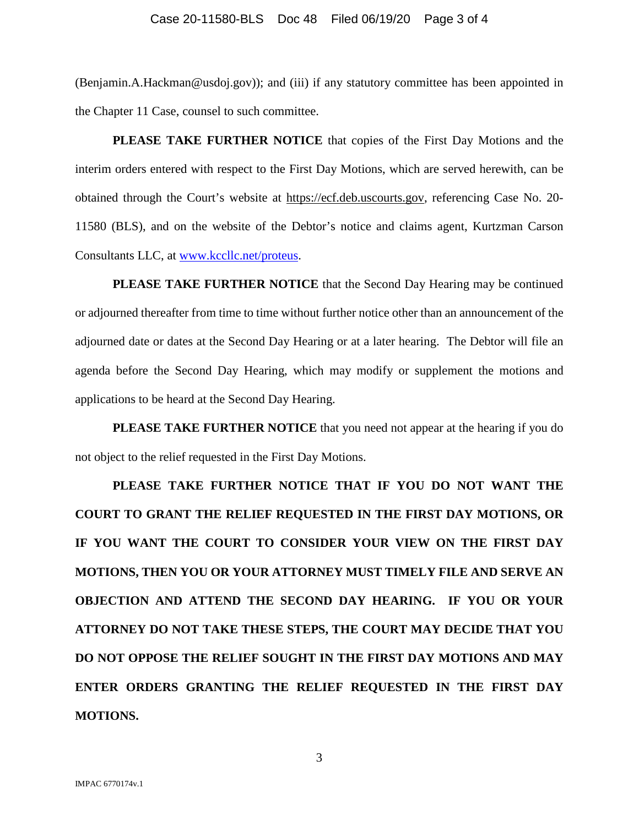## Case 20-11580-BLS Doc 48 Filed 06/19/20 Page 3 of 4

(Benjamin.A.Hackman@usdoj.gov)); and (iii) if any statutory committee has been appointed in the Chapter 11 Case, counsel to such committee.

**PLEASE TAKE FURTHER NOTICE** that copies of the First Day Motions and the interim orders entered with respect to the First Day Motions, which are served herewith, can be obtained through the Court's website at https://ecf.deb.uscourts.gov, referencing Case No. 20- 11580 (BLS), and on the website of the Debtor's notice and claims agent, Kurtzman Carson Consultants LLC, at www.kccllc.net/proteus.

**PLEASE TAKE FURTHER NOTICE** that the Second Day Hearing may be continued or adjourned thereafter from time to time without further notice other than an announcement of the adjourned date or dates at the Second Day Hearing or at a later hearing. The Debtor will file an agenda before the Second Day Hearing, which may modify or supplement the motions and applications to be heard at the Second Day Hearing.

**PLEASE TAKE FURTHER NOTICE** that you need not appear at the hearing if you do not object to the relief requested in the First Day Motions.

**PLEASE TAKE FURTHER NOTICE THAT IF YOU DO NOT WANT THE COURT TO GRANT THE RELIEF REQUESTED IN THE FIRST DAY MOTIONS, OR IF YOU WANT THE COURT TO CONSIDER YOUR VIEW ON THE FIRST DAY MOTIONS, THEN YOU OR YOUR ATTORNEY MUST TIMELY FILE AND SERVE AN OBJECTION AND ATTEND THE SECOND DAY HEARING. IF YOU OR YOUR ATTORNEY DO NOT TAKE THESE STEPS, THE COURT MAY DECIDE THAT YOU DO NOT OPPOSE THE RELIEF SOUGHT IN THE FIRST DAY MOTIONS AND MAY ENTER ORDERS GRANTING THE RELIEF REQUESTED IN THE FIRST DAY MOTIONS.** 

3